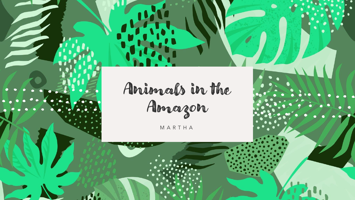Animals in the Amazon

M A R T H A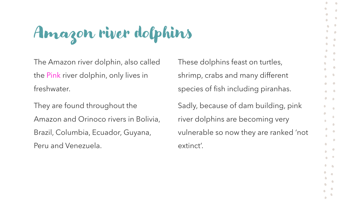## Amazon river dolphins

The Amazon river dolphin, also called the Pink river dolphin, only lives in freshwater.

They are found throughout the Amazon and Orinoco rivers in Bolivia, Brazil, Columbia, Ecuador, Guyana, Peru and Venezuela.

These dolphins feast on turtles, shrimp, crabs and many different species of fish including piranhas.

Sadly, because of dam building, pink river dolphins are becoming very vulnerable so now they are ranked 'not extinct'.

 $\bullet$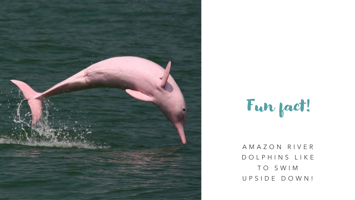

## Fun fact!

A M A Z O N R I V E R D O L P H I N S L I K E T O S W I M U P S I D E D O W N !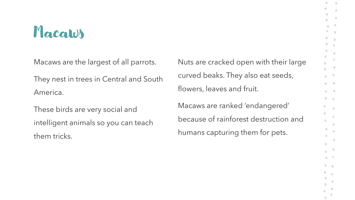#### Macaws

Macaws are the largest of all parrots.

They nest in trees in Central and South America.

These birds are very social and intelligent animals so you can teach them tricks.

Nuts are cracked open with their large curved beaks. They also eat seeds, flowers, leaves and fruit. Macaws are ranked 'endangered' because of rainforest destruction and humans capturing them for pets.

 $\bullet$  $\sqrt{2}$ 

 $\bullet$ 

 $\bullet$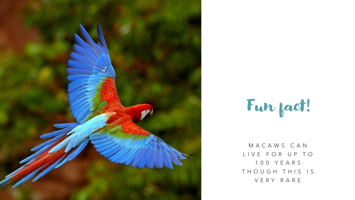



M A C A W S C A N LIVE FOR UP TO 1 0 0 Y E A R S THOUGH THIS IS V E R Y R A R E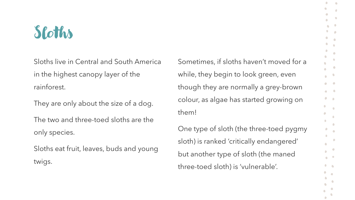### Sloths

Sloths live in Central and South America in the highest canopy layer of the rainforest.

They are only about the size of a dog.

The two and three-toed sloths are the only species.

Sloths eat fruit, leaves, buds and young twigs.

Sometimes, if sloths haven't moved for a while, they begin to look green, even though they are normally a grey-brown colour, as algae has started growing on them!

One type of sloth (the three-toed pygmy sloth) is ranked 'critically endangered' but another type of sloth (the maned three-toed sloth) is 'vulnerable'.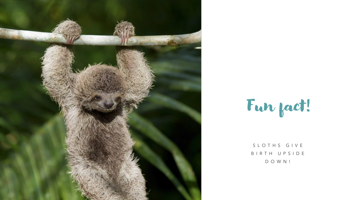

Fun fact!

S L O T H S G I V E B I R T H U P S I D E D O W N !